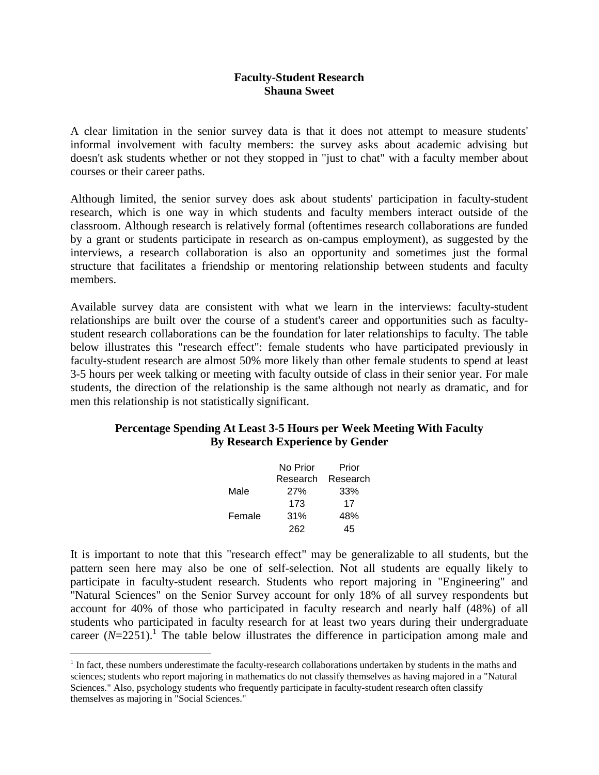## **Faculty-Student Research Shauna Sweet**

A clear limitation in the senior survey data is that it does not attempt to measure students' informal involvement with faculty members: the survey asks about academic advising but doesn't ask students whether or not they stopped in "just to chat" with a faculty member about courses or their career paths.

Although limited, the senior survey does ask about students' participation in faculty-student research, which is one way in which students and faculty members interact outside of the classroom. Although research is relatively formal (oftentimes research collaborations are funded by a grant or students participate in research as on-campus employment), as suggested by the interviews, a research collaboration is also an opportunity and sometimes just the formal structure that facilitates a friendship or mentoring relationship between students and faculty members.

Available survey data are consistent with what we learn in the interviews: faculty-student relationships are built over the course of a student's career and opportunities such as facultystudent research collaborations can be the foundation for later relationships to faculty. The table below illustrates this "research effect": female students who have participated previously in faculty-student research are almost 50% more likely than other female students to spend at least 3-5 hours per week talking or meeting with faculty outside of class in their senior year. For male students, the direction of the relationship is the same although not nearly as dramatic, and for men this relationship is not statistically significant.

## **Percentage Spending At Least 3-5 Hours per Week Meeting With Faculty By Research Experience by Gender**

|        | No Prior | Prior    |
|--------|----------|----------|
|        | Research | Research |
| Male   | 27%      | 33%      |
|        | 173      | 17       |
| Female | 31%      | 48%      |
|        | 262      | 45       |

It is important to note that this "research effect" may be generalizable to all students, but the pattern seen here may also be one of self-selection. Not all students are equally likely to participate in faculty-student research. Students who report majoring in "Engineering" and "Natural Sciences" on the Senior Survey account for only 18% of all survey respondents but account for 40% of those who participated in faculty research and nearly half (48%) of all students who participated in faculty research for at least two years during their undergraduate career  $(N=2251)$ .<sup>1</sup> The table below illustrates the difference in participation among male and

 $\overline{a}$ 

 $<sup>1</sup>$  In fact, these numbers underestimate the faculty-research collaborations undertaken by students in the maths and</sup> sciences; students who report majoring in mathematics do not classify themselves as having majored in a "Natural Sciences." Also, psychology students who frequently participate in faculty-student research often classify themselves as majoring in "Social Sciences."